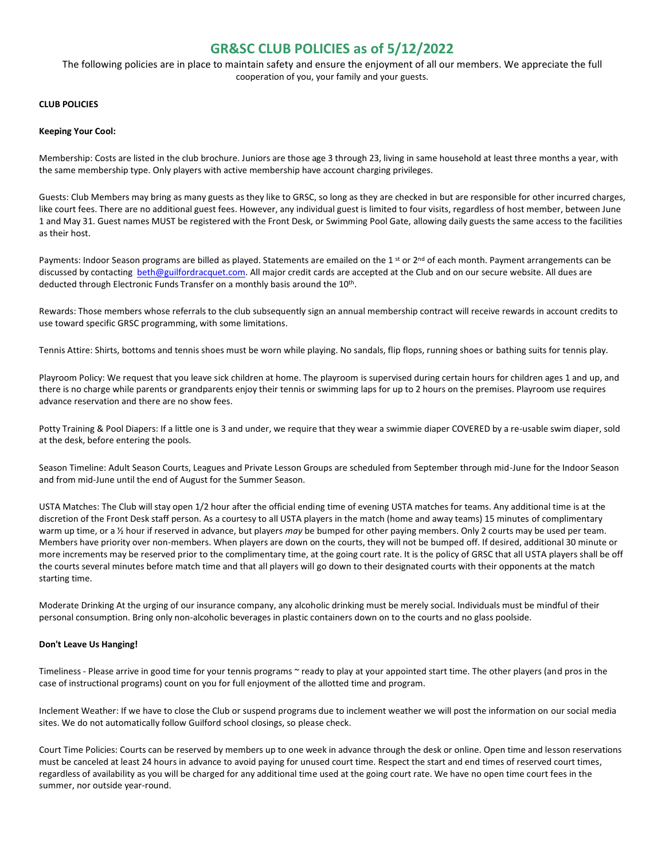# **GR&SC CLUB POLICIES as of 5/12/2022**

The following policies are in place to maintain safety and ensure the enjoyment of all our members. We appreciate the full cooperation of you, your family and your guests.

## **CLUB POLICIES**

### **Keeping Your Cool:**

Membership: Costs are listed in the club brochure. Juniors are those age 3 through 23, living in same household at least three months a year, with the same membership type. Only players with active membership have account charging privileges.

Guests: Club Members may bring as many guests as they like to GRSC, so long as they are checked in but are responsible for other incurred charges, like court fees. There are no additional guest fees. However, any individual guest is limited to four visits, regardless of host member, between June 1 and May 31. Guest names MUST be registered with the Front Desk, or Swimming Pool Gate, allowing daily guests the same access to the facilities as their host.

Payments: Indoor Season programs are billed as played. Statements are emailed on the 1<sup>st</sup> or 2<sup>nd</sup> of each month. Payment arrangements can be discussed by contacting [beth@guilfordracquet.com.](mailto:beth@guilfordracquet.com) All major credit cards are accepted at the Club and on our secure website. All dues are deducted through Electronic Funds Transfer on a monthly basis around the 10<sup>th</sup>.

Rewards: Those members whose referrals to the club subsequently sign an annual membership contract will receive rewards in account credits to use toward specific GRSC programming, with some limitations.

Tennis Attire: Shirts, bottoms and tennis shoes must be worn while playing. No sandals, flip flops, running shoes or bathing suits for tennis play.

Playroom Policy: We request that you leave sick children at home. The playroom is supervised during certain hours for children ages 1 and up, and there is no charge while parents or grandparents enjoy their tennis or swimming laps for up to 2 hours on the premises. Playroom use requires advance reservation and there are no show fees.

Potty Training & Pool Diapers: If a little one is 3 and under, we require that they wear a swimmie diaper COVERED by a re-usable swim diaper, sold at the desk, before entering the pools.

Season Timeline: Adult Season Courts, Leagues and Private Lesson Groups are scheduled from September through mid-June for the Indoor Season and from mid-June until the end of August for the Summer Season.

USTA Matches: The Club will stay open 1/2 hour after the official ending time of evening USTA matches for teams. Any additional time is at the discretion of the Front Desk staff person. As a courtesy to all USTA players in the match (home and away teams) 15 minutes of complimentary warm up time, or a ½ hour if reserved in advance, but players *may* be bumped for other paying members. Only 2 courts may be used per team. Members have priority over non-members. When players are down on the courts, they will not be bumped off. If desired, additional 30 minute or more increments may be reserved prior to the complimentary time, at the going court rate. It is the policy of GRSC that all USTA players shall be off the courts several minutes before match time and that all players will go down to their designated courts with their opponents at the match starting time.

Moderate Drinking At the urging of our insurance company, any alcoholic drinking must be merely social. Individuals must be mindful of their personal consumption. Bring only non-alcoholic beverages in plastic containers down on to the courts and no glass poolside.

#### **Don't Leave Us Hanging!**

Timeliness - Please arrive in good time for your tennis programs ~ ready to play at your appointed start time. The other players (and pros in the case of instructional programs) count on you for full enjoyment of the allotted time and program.

Inclement Weather: If we have to close the Club or suspend programs due to inclement weather we will post the information on our social media sites. We do not automatically follow Guilford school closings, so please check.

Court Time Policies: Courts can be reserved by members up to one week in advance through the desk or online. Open time and lesson reservations must be canceled at least 24 hours in advance to avoid paying for unused court time. Respect the start and end times of reserved court times, regardless of availability as you will be charged for any additional time used at the going court rate. We have no open time court fees in the summer, nor outside year-round.